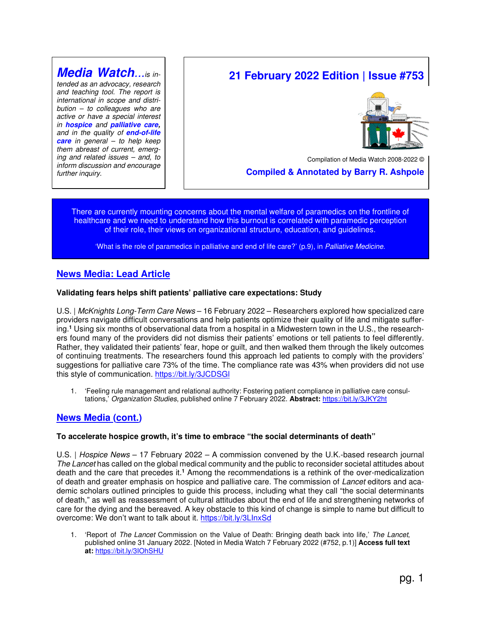# **Media Watch**...is in-

tended as an advocacy, research and teaching tool. The report is international in scope and distri $bution - to colleagues who are$ active or have a special interest in **hospice** and **palliative care,** and in the quality of **end-of-life care** in general – to help keep them abreast of current, emerging and related issues – and, to inform discussion and encourage further inquiry.

# **21 February 2022 Edition | Issue #753**



Compilation of Media Watch 2008-2022 ©

 **Compiled & Annotated by Barry R. Ashpole** 

There are currently mounting concerns about the mental welfare of paramedics on the frontline of healthcare and we need to understand how this burnout is correlated with paramedic perception of their role, their views on organizational structure, education, and guidelines.

'What is the role of paramedics in palliative and end of life care?' (p.9), in Palliative Medicine.

## **News Media: Lead Article**

## **Validating fears helps shift patients' palliative care expectations: Study**

U.S. | McKnights Long-Term Care News - 16 February 2022 - Researchers explored how specialized care providers navigate difficult conversations and help patients optimize their quality of life and mitigate suffering.**<sup>1</sup>** Using six months of observational data from a hospital in a Midwestern town in the U.S., the researchers found many of the providers did not dismiss their patients' emotions or tell patients to feel differently. Rather, they validated their patients' fear, hope or guilt, and then walked them through the likely outcomes of continuing treatments. The researchers found this approach led patients to comply with the providers' suggestions for palliative care 73% of the time. The compliance rate was 43% when providers did not use this style of communication. https://bit.ly/3JCDSGl

1. 'Feeling rule management and relational authority: Fostering patient compliance in palliative care consultations,' Organization Studies, published online 7 February 2022. **Abstract:** https://bit.ly/3JKY2ht

## **News Media (cont.)**

## **To accelerate hospice growth, it's time to embrace "the social determinants of death"**

U.S. | Hospice News – 17 February 2022 – A commission convened by the U.K.-based research journal The Lancet has called on the global medical community and the public to reconsider societal attitudes about death and the care that precedes it.<sup>1</sup> Among the recommendations is a rethink of the over-medicalization of death and greater emphasis on hospice and palliative care. The commission of Lancet editors and academic scholars outlined principles to guide this process, including what they call "the social determinants of death," as well as reassessment of cultural attitudes about the end of life and strengthening networks of care for the dying and the bereaved. A key obstacle to this kind of change is simple to name but difficult to overcome: We don't want to talk about it. https://bit.ly/3LInxSd

1. 'Report of The Lancet Commission on the Value of Death: Bringing death back into life,' The Lancet, published online 31 January 2022. [Noted in Media Watch 7 February 2022 (#752, p.1)] **Access full text at:** https://bit.ly/3IOhSHU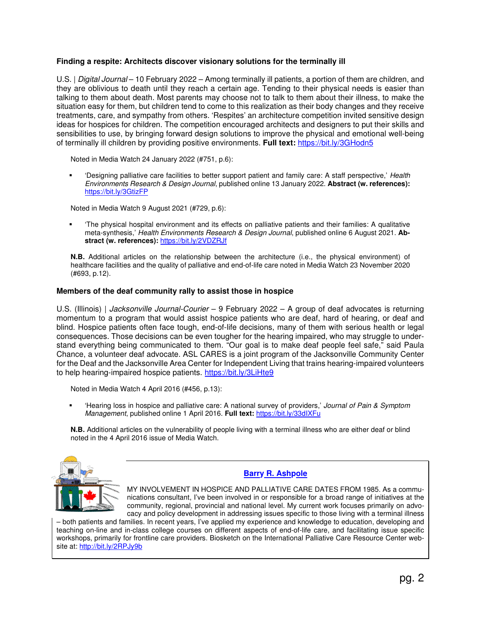## **Finding a respite: Architects discover visionary solutions for the terminally ill**

U.S. | Digital Journal – 10 February 2022 – Among terminally ill patients, a portion of them are children, and they are oblivious to death until they reach a certain age. Tending to their physical needs is easier than talking to them about death. Most parents may choose not to talk to them about their illness, to make the situation easy for them, but children tend to come to this realization as their body changes and they receive treatments, care, and sympathy from others. 'Respites' an architecture competition invited sensitive design ideas for hospices for children. The competition encouraged architects and designers to put their skills and sensibilities to use, by bringing forward design solutions to improve the physical and emotional well-being of terminally ill children by providing positive environments. **Full text:** https://bit.ly/3GHodn5

Noted in Media Watch 24 January 2022 (#751, p.6):

 'Designing palliative care facilities to better support patient and family care: A staff perspective,' Health Environments Research & Design Journal, published online 13 January 2022. **Abstract (w. references):** https://bit.ly/3GtizFP

Noted in Media Watch 9 August 2021 (#729, p.6):

 'The physical hospital environment and its effects on palliative patients and their families: A qualitative meta-synthesis,' Health Environments Research & Design Journal, published online 6 August 2021. **Abstract (w. references):** https://bit.ly/2VDZRJf

**N.B.** Additional articles on the relationship between the architecture (i.e., the physical environment) of healthcare facilities and the quality of palliative and end-of-life care noted in Media Watch 23 November 2020 (#693, p.12).

## **Members of the deaf community rally to assist those in hospice**

U.S. (Illinois) | *Jacksonville Journal-Courier* – 9 February 2022 – A group of deaf advocates is returning momentum to a program that would assist hospice patients who are deaf, hard of hearing, or deaf and blind. Hospice patients often face tough, end-of-life decisions, many of them with serious health or legal consequences. Those decisions can be even tougher for the hearing impaired, who may struggle to understand everything being communicated to them. "Our goal is to make deaf people feel safe," said Paula Chance, a volunteer deaf advocate. ASL CARES is a joint program of the Jacksonville Community Center for the Deaf and the Jacksonville Area Center for Independent Living that trains hearing-impaired volunteers to help hearing-impaired hospice patients. https://bit.ly/3LiHte9

Noted in Media Watch 4 April 2016 (#456, p.13):

 'Hearing loss in hospice and palliative care: A national survey of providers,' Journal of Pain & Symptom Management, published online 1 April 2016. **Full text:** https://bit.ly/33dIXFu

**N.B.** Additional articles on the vulnerability of people living with a terminal illness who are either deaf or blind noted in the 4 April 2016 issue of Media Watch.



## **Barry R. Ashpole**

MY INVOLVEMENT IN HOSPICE AND PALLIATIVE CARE DATES FROM 1985. As a communications consultant, I've been involved in or responsible for a broad range of initiatives at the community, regional, provincial and national level. My current work focuses primarily on advocacy and policy development in addressing issues specific to those living with a terminal illness

– both patients and families. In recent years, I've applied my experience and knowledge to education, developing and teaching on-line and in-class college courses on different aspects of end-of-life care, and facilitating issue specific workshops, primarily for frontline care providers. Biosketch on the International Palliative Care Resource Center website at: http://bit.ly/2RPJy9b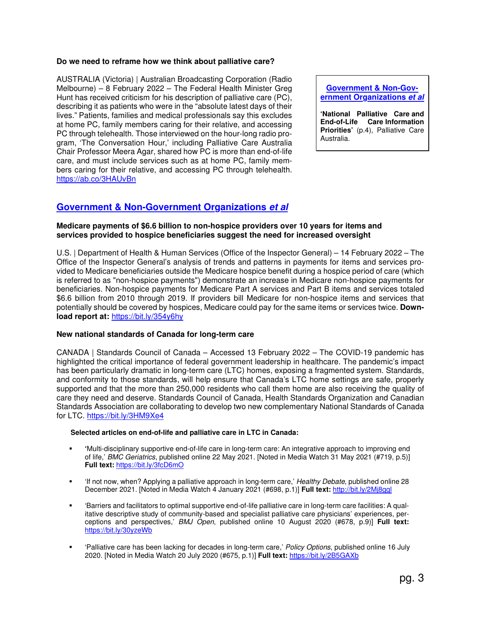## **Do we need to reframe how we think about palliative care?**

AUSTRALIA (Victoria) | Australian Broadcasting Corporation (Radio Melbourne) – 8 February 2022 – The Federal Health Minister Greg Hunt has received criticism for his description of palliative care (PC), describing it as patients who were in the "absolute latest days of their lives." Patients, families and medical professionals say this excludes at home PC, family members caring for their relative, and accessing PC through telehealth. Those interviewed on the hour-long radio program, 'The Conversation Hour,' including Palliative Care Australia Chair Professor Meera Agar, shared how PC is more than end-of-life care, and must include services such as at home PC, family members caring for their relative, and accessing PC through telehealth. https://ab.co/3HAUvBn

**Government & Non-Government Organizations et al**

**'National Palliative Care and End-of-Life Care Information Priorities'** (p.4), Palliative Care Australia.

## **Government & Non-Government Organizations et al**

## **Medicare payments of \$6.6 billion to non-hospice providers over 10 years for items and services provided to hospice beneficiaries suggest the need for increased oversight**

U.S. | Department of Health & Human Services (Office of the Inspector General) – 14 February 2022 – The Office of the Inspector General's analysis of trends and patterns in payments for items and services provided to Medicare beneficiaries outside the Medicare hospice benefit during a hospice period of care (which is referred to as "non-hospice payments") demonstrate an increase in Medicare non-hospice payments for beneficiaries. Non-hospice payments for Medicare Part A services and Part B items and services totaled \$6.6 billion from 2010 through 2019. If providers bill Medicare for non-hospice items and services that potentially should be covered by hospices, Medicare could pay for the same items or services twice. **Download report at:** https://bit.ly/354y6hy

## **New national standards of Canada for long-term care**

CANADA | Standards Council of Canada – Accessed 13 February 2022 – The COVID-19 pandemic has highlighted the critical importance of federal government leadership in healthcare. The pandemic's impact has been particularly dramatic in long-term care (LTC) homes, exposing a fragmented system. Standards, and conformity to those standards, will help ensure that Canada's LTC home settings are safe, properly supported and that the more than 250,000 residents who call them home are also receiving the quality of care they need and deserve. Standards Council of Canada, Health Standards Organization and Canadian Standards Association are collaborating to develop two new complementary National Standards of Canada for LTC. https://bit.ly/3HM9Xe4

## **Selected articles on end-of-life and palliative care in LTC in Canada:**

- **'**Multi-disciplinary supportive end-of-life care in long-term care: An integrative approach to improving end of life,' BMC Geriatrics, published online 22 May 2021. [Noted in Media Watch 31 May 2021 (#719, p.5)] **Full text:** https://bit.ly/3fcD6mO
- 'If not now, when? Applying a palliative approach in long-term care,' Healthy Debate, published online 28 December 2021. [Noted in Media Watch 4 January 2021 (#698, p.1)] **Full text:** http://bit.ly/2Mj8ggl
- 'Barriers and facilitators to optimal supportive end-of-life palliative care in long-term care facilities: A qualitative descriptive study of community-based and specialist palliative care physicians' experiences, perceptions and perspectives,' BMJ Open, published online 10 August 2020 (#678, p.9)] **Full text:** https://bit.ly/30yzeWb
- 'Palliative care has been lacking for decades in long-term care,' Policy Options, published online 16 July 2020. [Noted in Media Watch 20 July 2020 (#675, p.1)] **Full text:** https://bit.ly/2B5GAXb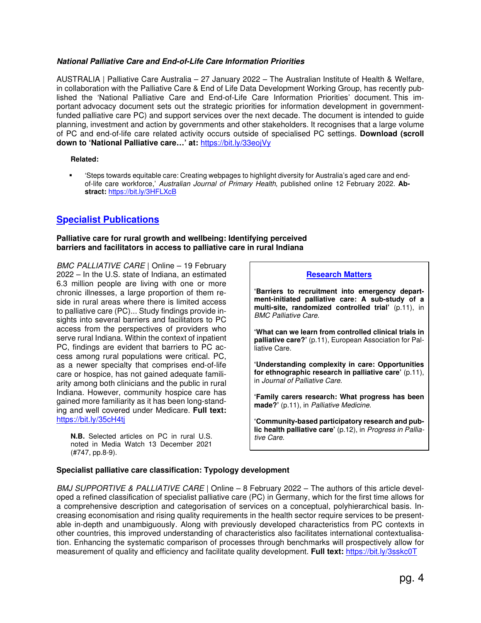## **National Palliative Care and End-of-Life Care Information Priorities**

AUSTRALIA | Palliative Care Australia – 27 January 2022 – The Australian Institute of Health & Welfare, in collaboration with the Palliative Care & End of Life Data Development Working Group, has recently published the 'National Palliative Care and End-of-Life Care Information Priorities' document. This important advocacy document sets out the strategic priorities for information development in governmentfunded palliative care PC) and support services over the next decade. The document is intended to guide planning, investment and action by governments and other stakeholders. It recognises that a large volume of PC and end-of-life care related activity occurs outside of specialised PC settings. **Download (scroll down to 'National Palliative care…' at:** https://bit.ly/33eojVy

**Related:** 

 'Steps towards equitable care: Creating webpages to highlight diversity for Australia's aged care and endof-life care workforce,' Australian Journal of Primary Health, published online 12 February 2022. **Abstract:** https://bit.ly/3HFLXcB

## **Specialist Publications**

## **Palliative care for rural growth and wellbeing: Identifying perceived barriers and facilitators in access to palliative care in rural Indiana**

BMC PALLIATIVE CARE | Online - 19 February 2022 – In the U.S. state of Indiana, an estimated 6.3 million people are living with one or more chronic illnesses, a large proportion of them reside in rural areas where there is limited access to palliative care (PC)... Study findings provide insights into several barriers and facilitators to PC access from the perspectives of providers who serve rural Indiana. Within the context of inpatient PC, findings are evident that barriers to PC access among rural populations were critical. PC, as a newer specialty that comprises end-of-life care or hospice, has not gained adequate familiarity among both clinicians and the public in rural Indiana. However, community hospice care has gained more familiarity as it has been long-standing and well covered under Medicare. **Full text:** https://bit.ly/35cH4tj

**N.B.** Selected articles on PC in rural U.S. noted in Media Watch 13 December 2021 (#747, pp.8-9).

## **Research Matters**

**'Barriers to recruitment into emergency department-initiated palliative care: A sub-study of a multi-site, randomized controlled trial'** (p.11), in BMC Palliative Care.

**'What can we learn from controlled clinical trials in palliative care?'** (p.11), European Association for Palliative Care.

**'Understanding complexity in care: Opportunities for ethnographic research in palliative care'** (p.11), in Journal of Palliative Care.

**'Family carers research: What progress has been made?'** (p.11), in Palliative Medicine.

**'Community-based participatory research and public health palliative care'** (p.12), in Progress in Palliative Care.

## **Specialist palliative care classification: Typology development**

BMJ SUPPORTIVE & PALLIATIVE CARE | Online – 8 February 2022 – The authors of this article developed a refined classification of specialist palliative care (PC) in Germany, which for the first time allows for a comprehensive description and categorisation of services on a conceptual, polyhierarchical basis. Increasing economisation and rising quality requirements in the health sector require services to be presentable in-depth and unambiguously. Along with previously developed characteristics from PC contexts in other countries, this improved understanding of characteristics also facilitates international contextualisation. Enhancing the systematic comparison of processes through benchmarks will prospectively allow for measurement of quality and efficiency and facilitate quality development. **Full text:** https://bit.ly/3sskc0T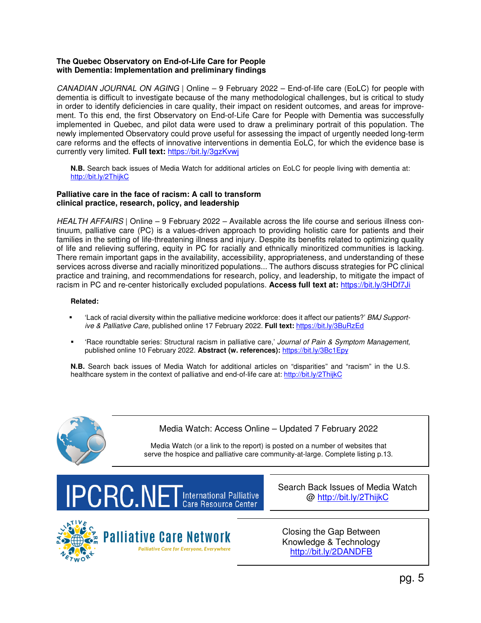## **The Quebec Observatory on End-of-Life Care for People with Dementia: Implementation and preliminary findings**

CANADIAN JOURNAL ON AGING | Online – 9 February 2022 – End-of-life care (EoLC) for people with dementia is difficult to investigate because of the many methodological challenges, but is critical to study in order to identify deficiencies in care quality, their impact on resident outcomes, and areas for improvement. To this end, the first Observatory on End-of-Life Care for People with Dementia was successfully implemented in Quebec, and pilot data were used to draw a preliminary portrait of this population. The newly implemented Observatory could prove useful for assessing the impact of urgently needed long-term care reforms and the effects of innovative interventions in dementia EoLC, for which the evidence base is currently very limited. **Full text:** https://bit.ly/3gzKvwj

**N.B.** Search back issues of Media Watch for additional articles on EoLC for people living with dementia at: http://bit.ly/2ThijkC

## **Palliative care in the face of racism: A call to transform clinical practice, research, policy, and leadership**

HEALTH AFFAIRS | Online – 9 February 2022 – Available across the life course and serious illness continuum, palliative care (PC) is a values-driven approach to providing holistic care for patients and their families in the setting of life-threatening illness and injury. Despite its benefits related to optimizing quality of life and relieving suffering, equity in PC for racially and ethnically minoritized communities is lacking. There remain important gaps in the availability, accessibility, appropriateness, and understanding of these services across diverse and racially minoritized populations... The authors discuss strategies for PC clinical practice and training, and recommendations for research, policy, and leadership, to mitigate the impact of racism in PC and re-center historically excluded populations. **Access full text at:** https://bit.ly/3HDf7Ji

## **Related:**

- 'Lack of racial diversity within the palliative medicine workforce: does it affect our patients?' BMJ Supportive & Palliative Care, published online 17 February 2022. **Full text:** https://bit.ly/3BuRzEd
- 'Race roundtable series: Structural racism in palliative care,' Journal of Pain & Symptom Management, published online 10 February 2022. **Abstract (w. references):** https://bit.ly/3Bc1Epy

**N.B.** Search back issues of Media Watch for additional articles on "disparities" and "racism" in the U.S. healthcare system in the context of palliative and end-of-life care at: http://bit.ly/2ThijkC



Media Watch: Access Online – Updated 7 February 2022

Media Watch (or a link to the report) is posted on a number of websites that serve the hospice and palliative care community-at-large. Complete listing p.13.



Search Back Issues of Media Watch @ http://bit.ly/2ThijkC



Closing the Gap Between Knowledge & Technology http://bit.ly/2DANDFB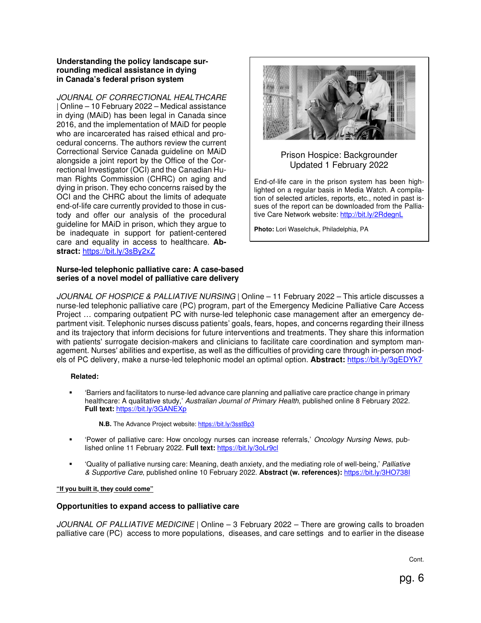## **Understanding the policy landscape surrounding medical assistance in dying in Canada's federal prison system**

JOURNAL OF CORRECTIONAL HEALTHCARE | Online – 10 February 2022 – Medical assistance in dying (MAiD) has been legal in Canada since 2016, and the implementation of MAiD for people who are incarcerated has raised ethical and procedural concerns. The authors review the current Correctional Service Canada guideline on MAiD alongside a joint report by the Office of the Correctional Investigator (OCI) and the Canadian Human Rights Commission (CHRC) on aging and dying in prison. They echo concerns raised by the OCI and the CHRC about the limits of adequate end-of-life care currently provided to those in custody and offer our analysis of the procedural guideline for MAiD in prison, which they argue to be inadequate in support for patient-centered care and equality in access to healthcare. **Abstract:** https://bit.ly/3sBy2xZ

## **Nurse-led telephonic palliative care: A case-based series of a novel model of palliative care delivery**



## Prison Hospice: Backgrounder Updated 1 February 2022

End-of-life care in the prison system has been highlighted on a regular basis in Media Watch. A compilation of selected articles, reports, etc., noted in past issues of the report can be downloaded from the Palliative Care Network website: http://bit.ly/2RdegnL

**Photo:** Lori Waselchuk, Philadelphia, PA

JOURNAL OF HOSPICE & PALLIATIVE NURSING | Online – 11 February 2022 – This article discusses a nurse-led telephonic palliative care (PC) program, part of the Emergency Medicine Palliative Care Access Project … comparing outpatient PC with nurse-led telephonic case management after an emergency department visit. Telephonic nurses discuss patients' goals, fears, hopes, and concerns regarding their illness and its trajectory that inform decisions for future interventions and treatments. They share this information with patients' surrogate decision-makers and clinicians to facilitate care coordination and symptom management. Nurses' abilities and expertise, as well as the difficulties of providing care through in-person models of PC delivery, make a nurse-led telephonic model an optimal option. **Abstract:** https://bit.ly/3gEDYk7

## **Related:**

 'Barriers and facilitators to nurse-led advance care planning and palliative care practice change in primary healthcare: A qualitative study,' Australian Journal of Primary Health, published online 8 February 2022. **Full text:** https://bit.ly/3GANEXp

**N.B.** The Advance Project website: https://bit.ly/3sstBp3

- 'Power of palliative care: How oncology nurses can increase referrals,' Oncology Nursing News, published online 11 February 2022. **Full text:** https://bit.ly/3oLr9cl
- 'Quality of palliative nursing care: Meaning, death anxiety, and the mediating role of well-being,' Palliative & Supportive Care, published online 10 February 2022. **Abstract (w. references):** https://bit.ly/3HO738I

## **"If you built it, they could come"**

## **Opportunities to expand access to palliative care**

JOURNAL OF PALLIATIVE MEDICINE | Online – 3 February 2022 – There are growing calls to broaden palliative care (PC) access to more populations, diseases, and care settings and to earlier in the disease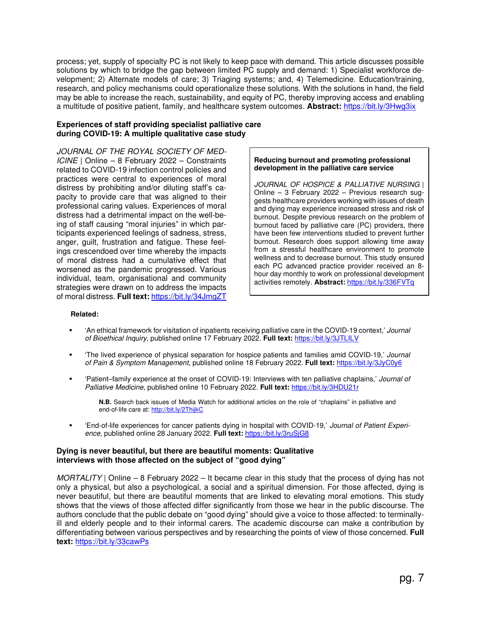process; yet, supply of specialty PC is not likely to keep pace with demand. This article discusses possible solutions by which to bridge the gap between limited PC supply and demand: 1) Specialist workforce development; 2) Alternate models of care; 3) Triaging systems; and, 4) Telemedicine. Education/training, research, and policy mechanisms could operationalize these solutions. With the solutions in hand, the field may be able to increase the reach, sustainability, and equity of PC, thereby improving access and enabling a multitude of positive patient, family, and healthcare system outcomes. **Abstract:** https://bit.ly/3Hwg3ix

## **Experiences of staff providing specialist palliative care during COVID-19: A multiple qualitative case study**

JOURNAL OF THE ROYAL SOCIETY OF MED-ICINE | Online – 8 February 2022 – Constraints related to COVID-19 infection control policies and practices were central to experiences of moral distress by prohibiting and/or diluting staff's capacity to provide care that was aligned to their professional caring values. Experiences of moral distress had a detrimental impact on the well-being of staff causing "moral injuries" in which participants experienced feelings of sadness, stress, anger, guilt, frustration and fatigue. These feelings crescendoed over time whereby the impacts of moral distress had a cumulative effect that worsened as the pandemic progressed. Various individual, team, organisational and community strategies were drawn on to address the impacts of moral distress. **Full text:** https://bit.ly/34JmgZT

#### **Reducing burnout and promoting professional development in the palliative care service**

JOURNAL OF HOSPICE & PALLIATIVE NURSING | Online – 3 February 2022 – Previous research suggests healthcare providers working with issues of death and dying may experience increased stress and risk of burnout. Despite previous research on the problem of burnout faced by palliative care (PC) providers, there have been few interventions studied to prevent further burnout. Research does support allowing time away from a stressful healthcare environment to promote wellness and to decrease burnout. This study ensured each PC advanced practice provider received an 8 hour day monthly to work on professional development activities remotely. **Abstract:** https://bit.ly/336FVTq

#### **Related:**

- 'An ethical framework for visitation of inpatients receiving palliative care in the COVID-19 context,' Journal of Bioethical Inquiry, published online 17 February 2022. **Full text:** https://bit.ly/3JTLILV
- 'The lived experience of physical separation for hospice patients and families amid COVID-19,' Journal of Pain & Symptom Management, published online 18 February 2022. **Full text:** https://bit.ly/3JyC0y6
- 'Patient–family experience at the onset of COVID-19: Interviews with ten palliative chaplains,' Journal of Palliative Medicine, published online 10 February 2022. **Full text:** https://bit.ly/3HDU21r

**N.B.** Search back issues of Media Watch for additional articles on the role of "chaplains" in palliative and end-of-life care at: http://bit.ly/2ThijkC

 'End-of-life experiences for cancer patients dying in hospital with COVID-19,' Journal of Patient Experience, published online 28 January 2022. **Full text:** https://bit.ly/3ruSjG8

#### **Dying is never beautiful, but there are beautiful moments: Qualitative interviews with those affected on the subject of "good dying"**

MORTALITY | Online – 8 February 2022 – It became clear in this study that the process of dying has not only a physical, but also a psychological, a social and a spiritual dimension. For those affected, dying is never beautiful, but there are beautiful moments that are linked to elevating moral emotions. This study shows that the views of those affected differ significantly from those we hear in the public discourse. The authors conclude that the public debate on "good dying" should give a voice to those affected: to terminallyill and elderly people and to their informal carers. The academic discourse can make a contribution by differentiating between various perspectives and by researching the points of view of those concerned. **Full text:** https://bit.ly/33cawPs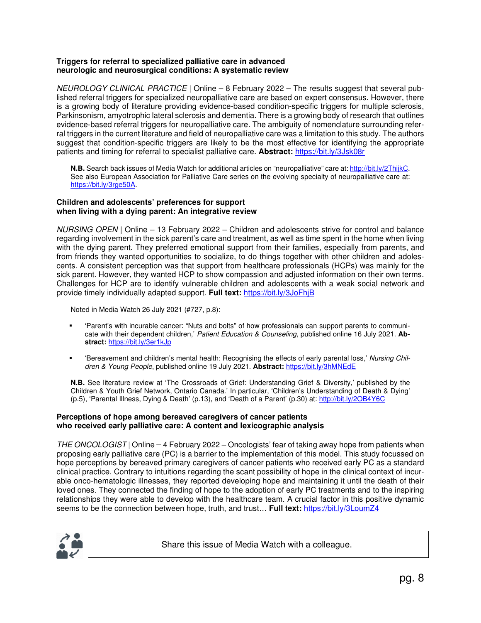## **Triggers for referral to specialized palliative care in advanced neurologic and neurosurgical conditions: A systematic review**

NEUROLOGY CLINICAL PRACTICE | Online – 8 February 2022 – The results suggest that several published referral triggers for specialized neuropalliative care are based on expert consensus. However, there is a growing body of literature providing evidence-based condition-specific triggers for multiple sclerosis, Parkinsonism, amyotrophic lateral sclerosis and dementia. There is a growing body of research that outlines evidence-based referral triggers for neuropalliative care. The ambiguity of nomenclature surrounding referral triggers in the current literature and field of neuropalliative care was a limitation to this study. The authors suggest that condition-specific triggers are likely to be the most effective for identifying the appropriate patients and timing for referral to specialist palliative care. **Abstract:** https://bit.ly/3Jsk08r

**N.B.** Search back issues of Media Watch for additional articles on "neuropalliative" care at: http://bit.ly/2ThijkC. See also European Association for Palliative Care series on the evolving specialty of neuropalliative care at: https://bit.ly/3rge50A.

## **Children and adolescents' preferences for support when living with a dying parent: An integrative review**

NURSING OPEN | Online – 13 February 2022 – Children and adolescents strive for control and balance regarding involvement in the sick parent's care and treatment, as well as time spent in the home when living with the dying parent. They preferred emotional support from their families, especially from parents, and from friends they wanted opportunities to socialize, to do things together with other children and adolescents. A consistent perception was that support from healthcare professionals (HCPs) was mainly for the sick parent. However, they wanted HCP to show compassion and adjusted information on their own terms. Challenges for HCP are to identify vulnerable children and adolescents with a weak social network and provide timely individually adapted support. **Full text:** https://bit.ly/3JoFhjB

Noted in Media Watch 26 July 2021 (#727, p.8):

- 'Parent's with incurable cancer: "Nuts and bolts" of how professionals can support parents to communicate with their dependent children,' Patient Education & Counseling, published online 16 July 2021. **Abstract:** https://bit.ly/3er1kJp
- 'Bereavement and children's mental health: Recognising the effects of early parental loss,' Nursing Children & Young People, published online 19 July 2021. **Abstract:** https://bit.ly/3hMNEdE

**N.B.** See literature review at 'The Crossroads of Grief: Understanding Grief & Diversity,' published by the Children & Youth Grief Network, Ontario Canada.' In particular, 'Children's Understanding of Death & Dying' (p.5), 'Parental Illness, Dying & Death' (p.13), and 'Death of a Parent' (p.30) at: http://bit.ly/2OB4Y6C

## **Perceptions of hope among bereaved caregivers of cancer patients who received early palliative care: A content and lexicographic analysis**

THE ONCOLOGIST | Online – 4 February 2022 – Oncologists' fear of taking away hope from patients when proposing early palliative care (PC) is a barrier to the implementation of this model. This study focussed on hope perceptions by bereaved primary caregivers of cancer patients who received early PC as a standard clinical practice. Contrary to intuitions regarding the scant possibility of hope in the clinical context of incurable onco-hematologic illnesses, they reported developing hope and maintaining it until the death of their loved ones. They connected the finding of hope to the adoption of early PC treatments and to the inspiring relationships they were able to develop with the healthcare team. A crucial factor in this positive dynamic seems to be the connection between hope, truth, and trust… **Full text:** https://bit.ly/3LoumZ4



Share this issue of Media Watch with a colleague.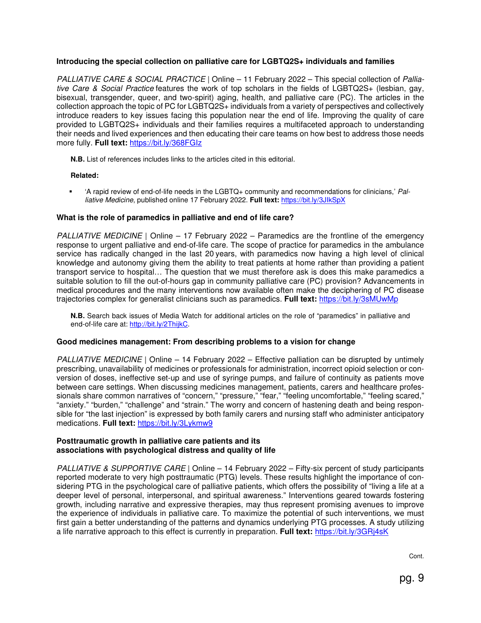## **Introducing the special collection on palliative care for LGBTQ2S+ individuals and families**

PALLIATIVE CARE & SOCIAL PRACTICE | Online – 11 February 2022 – This special collection of Palliative Care & Social Practice features the work of top scholars in the fields of LGBTQ2S+ (lesbian, gay, bisexual, transgender, queer, and two-spirit) aging, health, and palliative care (PC). The articles in the collection approach the topic of PC for LGBTQ2S+ individuals from a variety of perspectives and collectively introduce readers to key issues facing this population near the end of life. Improving the quality of care provided to LGBTQ2S+ individuals and their families requires a multifaceted approach to understanding their needs and lived experiences and then educating their care teams on how best to address those needs more fully. **Full text:** https://bit.ly/368FGIz

**N.B.** List of references includes links to the articles cited in this editorial.

## **Related:**

 'A rapid review of end-of-life needs in the LGBTQ+ community and recommendations for clinicians,' Palliative Medicine, published online 17 February 2022. **Full text:** https://bit.ly/3JIkSpX

## **What is the role of paramedics in palliative and end of life care?**

PALLIATIVE MEDICINE | Online – 17 February 2022 – Paramedics are the frontline of the emergency response to urgent palliative and end-of-life care. The scope of practice for paramedics in the ambulance service has radically changed in the last 20 years, with paramedics now having a high level of clinical knowledge and autonomy giving them the ability to treat patients at home rather than providing a patient transport service to hospital… The question that we must therefore ask is does this make paramedics a suitable solution to fill the out-of-hours gap in community palliative care (PC) provision? Advancements in medical procedures and the many interventions now available often make the deciphering of PC disease trajectories complex for generalist clinicians such as paramedics. **Full text:** https://bit.ly/3sMUwMp

**N.B.** Search back issues of Media Watch for additional articles on the role of "paramedics" in palliative and end-of-life care at: http://bit.ly/2ThijkC.

## **Good medicines management: From describing problems to a vision for change**

PALLIATIVE MEDICINE | Online – 14 February 2022 – Effective palliation can be disrupted by untimely prescribing, unavailability of medicines or professionals for administration, incorrect opioid selection or conversion of doses, ineffective set-up and use of syringe pumps, and failure of continuity as patients move between care settings. When discussing medicines management, patients, carers and healthcare professionals share common narratives of "concern," "pressure," "fear," "feeling uncomfortable," "feeling scared," "anxiety." "burden," "challenge" and "strain." The worry and concern of hastening death and being responsible for "the last injection" is expressed by both family carers and nursing staff who administer anticipatory medications. **Full text:** https://bit.ly/3Lykmw9

## **Posttraumatic growth in palliative care patients and its associations with psychological distress and quality of life**

PALLIATIVE & SUPPORTIVE CARE | Online - 14 February 2022 - Fifty-six percent of study participants reported moderate to very high posttraumatic (PTG) levels. These results highlight the importance of considering PTG in the psychological care of palliative patients, which offers the possibility of "living a life at a deeper level of personal, interpersonal, and spiritual awareness." Interventions geared towards fostering growth, including narrative and expressive therapies, may thus represent promising avenues to improve the experience of individuals in palliative care. To maximize the potential of such interventions, we must first gain a better understanding of the patterns and dynamics underlying PTG processes. A study utilizing a life narrative approach to this effect is currently in preparation. **Full text:** https://bit.ly/3GRj4sK

Cont.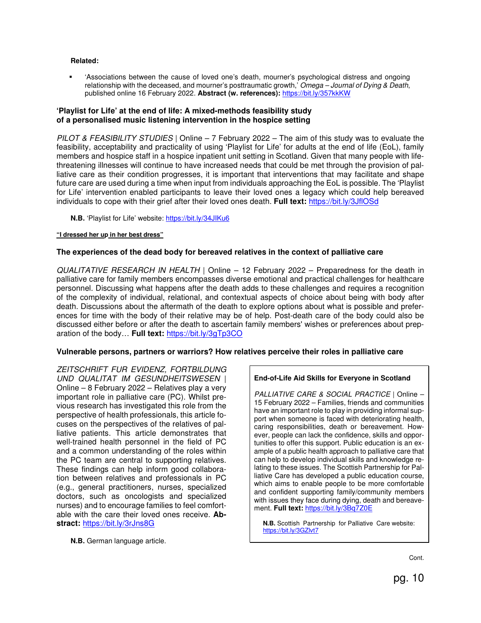#### **Related:**

 'Associations between the cause of loved one's death, mourner's psychological distress and ongoing relationship with the deceased, and mourner's posttraumatic growth,' Omega - Journal of Dying & Death, published online 16 February 2022. **Abstract (w. references):** https://bit.ly/357kkKW

## **'Playlist for Life' at the end of life: A mixed-methods feasibility study of a personalised music listening intervention in the hospice setting**

PILOT & FEASIBILITY STUDIES | Online  $-7$  February 2022 – The aim of this study was to evaluate the feasibility, acceptability and practicality of using 'Playlist for Life' for adults at the end of life (EoL), family members and hospice staff in a hospice inpatient unit setting in Scotland. Given that many people with lifethreatening illnesses will continue to have increased needs that could be met through the provision of palliative care as their condition progresses, it is important that interventions that may facilitate and shape future care are used during a time when input from individuals approaching the EoL is possible. The 'Playlist for Life' intervention enabled participants to leave their loved ones a legacy which could help bereaved individuals to cope with their grief after their loved ones death. **Full text:** https://bit.ly/3JflOSd

**N.B.** 'Playlist for Life' website: https://bit.ly/34JIKu6

#### **"I dressed her up in her best dress"**

## **The experiences of the dead body for bereaved relatives in the context of palliative care**

QUALITATIVE RESEARCH IN HEALTH | Online – 12 February 2022 – Preparedness for the death in palliative care for family members encompasses diverse emotional and practical challenges for healthcare personnel. Discussing what happens after the death adds to these challenges and requires a recognition of the complexity of individual, relational, and contextual aspects of choice about being with body after death. Discussions about the aftermath of the death to explore options about what is possible and preferences for time with the body of their relative may be of help. Post-death care of the body could also be discussed either before or after the death to ascertain family members' wishes or preferences about preparation of the body… **Full text:** https://bit.ly/3gTp3CO

## **Vulnerable persons, partners or warriors? How relatives perceive their roles in palliative care**

ZEITSCHRIFT FUR EVIDENZ, FORTBILDUNG UND QUALITAT IM GESUNDHEITSWESEN | Online – 8 February 2022 – Relatives play a very important role in palliative care (PC). Whilst previous research has investigated this role from the perspective of health professionals, this article focuses on the perspectives of the relatives of palliative patients. This article demonstrates that well-trained health personnel in the field of PC and a common understanding of the roles within the PC team are central to supporting relatives. These findings can help inform good collaboration between relatives and professionals in PC (e.g., general practitioners, nurses, specialized doctors, such as oncologists and specialized nurses) and to encourage families to feel comfortable with the care their loved ones receive. **Abstract:** https://bit.ly/3rJns8G

**N.B.** German language article.

## **End-of-Life Aid Skills for Everyone in Scotland**

PALLIATIVE CARE & SOCIAL PRACTICE | Online -15 February 2022 – Families, friends and communities have an important role to play in providing informal support when someone is faced with deteriorating health, caring responsibilities, death or bereavement. However, people can lack the confidence, skills and opportunities to offer this support. Public education is an example of a public health approach to palliative care that can help to develop individual skills and knowledge relating to these issues. The Scottish Partnership for Palliative Care has developed a public education course, which aims to enable people to be more comfortable and confident supporting family/community members with issues they face during dying, death and bereavement. **Full text:** https://bit.ly/3Bq7Z0E

 **N.B.** Scottish Partnership for Palliative Care website: https://bit.ly/3GZlvt7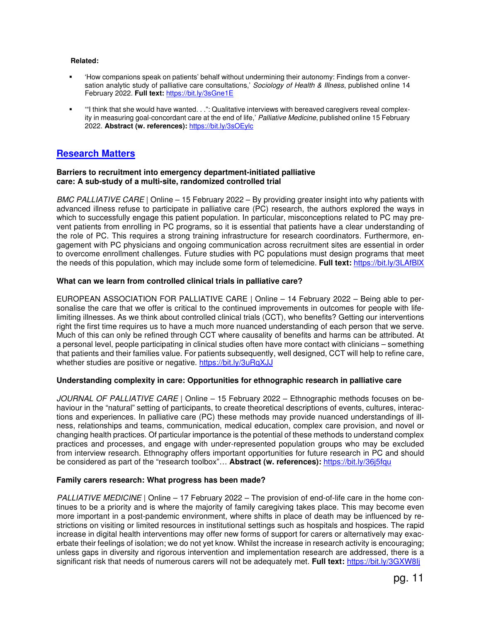#### **Related:**

- 'How companions speak on patients' behalf without undermining their autonomy: Findings from a conversation analytic study of palliative care consultations,' Sociology of Health & Illness, published online 14 February 2022. **Full text:** https://bit.ly/3sGne1E
- '"I think that she would have wanted. . .": Qualitative interviews with bereaved caregivers reveal complexity in measuring goal-concordant care at the end of life,' Palliative Medicine, published online 15 February 2022. **Abstract (w. references):** https://bit.ly/3sOEylc

## **Research Matters**

#### **Barriers to recruitment into emergency department-initiated palliative care: A sub-study of a multi-site, randomized controlled trial**

BMC PALLIATIVE CARE | Online – 15 February 2022 – By providing greater insight into why patients with advanced illness refuse to participate in palliative care (PC) research, the authors explored the ways in which to successfully engage this patient population. In particular, misconceptions related to PC may prevent patients from enrolling in PC programs, so it is essential that patients have a clear understanding of the role of PC. This requires a strong training infrastructure for research coordinators. Furthermore, engagement with PC physicians and ongoing communication across recruitment sites are essential in order to overcome enrollment challenges. Future studies with PC populations must design programs that meet the needs of this population, which may include some form of telemedicine. **Full text:** https://bit.ly/3LAfBlX

## **What can we learn from controlled clinical trials in palliative care?**

EUROPEAN ASSOCIATION FOR PALLIATIVE CARE | Online – 14 February 2022 – Being able to personalise the care that we offer is critical to the continued improvements in outcomes for people with lifelimiting illnesses. As we think about controlled clinical trials (CCT), who benefits? Getting our interventions right the first time requires us to have a much more nuanced understanding of each person that we serve. Much of this can only be refined through CCT where causality of benefits and harms can be attributed. At a personal level, people participating in clinical studies often have more contact with clinicians – something that patients and their families value. For patients subsequently, well designed, CCT will help to refine care, whether studies are positive or negative. https://bit.ly/3uRqXJJ

## **Understanding complexity in care: Opportunities for ethnographic research in palliative care**

JOURNAL OF PALLIATIVE CARE | Online - 15 February 2022 - Ethnographic methods focuses on behaviour in the "natural" setting of participants, to create theoretical descriptions of events, cultures, interactions and experiences. In palliative care (PC) these methods may provide nuanced understandings of illness, relationships and teams, communication, medical education, complex care provision, and novel or changing health practices. Of particular importance is the potential of these methods to understand complex practices and processes, and engage with under-represented population groups who may be excluded from interview research. Ethnography offers important opportunities for future research in PC and should be considered as part of the "research toolbox"… **Abstract (w. references):** https://bit.ly/36j5fqu

## **Family carers research: What progress has been made?**

PALLIATIVE MEDICINE | Online – 17 February 2022 – The provision of end-of-life care in the home continues to be a priority and is where the majority of family caregiving takes place. This may become even more important in a post-pandemic environment, where shifts in place of death may be influenced by restrictions on visiting or limited resources in institutional settings such as hospitals and hospices. The rapid increase in digital health interventions may offer new forms of support for carers or alternatively may exacerbate their feelings of isolation; we do not yet know. Whilst the increase in research activity is encouraging; unless gaps in diversity and rigorous intervention and implementation research are addressed, there is a significant risk that needs of numerous carers will not be adequately met. **Full text:** https://bit.ly/3GXW8Ij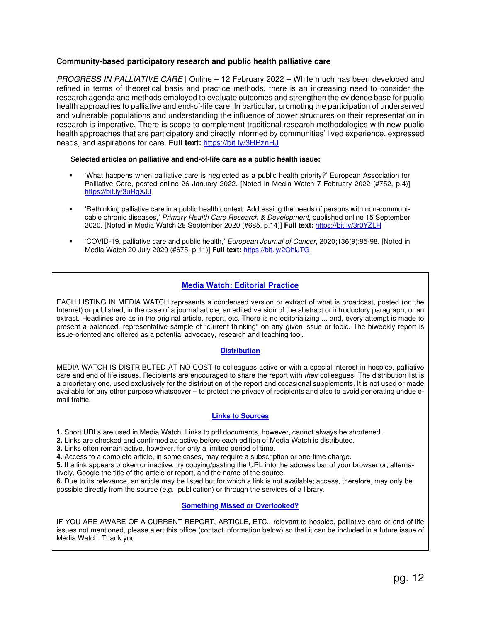## **Community-based participatory research and public health palliative care**

PROGRESS IN PALLIATIVE CARE | Online – 12 February 2022 – While much has been developed and refined in terms of theoretical basis and practice methods, there is an increasing need to consider the research agenda and methods employed to evaluate outcomes and strengthen the evidence base for public health approaches to palliative and end-of-life care. In particular, promoting the participation of underserved and vulnerable populations and understanding the influence of power structures on their representation in research is imperative. There is scope to complement traditional research methodologies with new public health approaches that are participatory and directly informed by communities' lived experience, expressed needs, and aspirations for care. **Full text:** https://bit.ly/3HPznHJ

#### **Selected articles on palliative and end-of-life care as a public health issue:**

- 'What happens when palliative care is neglected as a public health priority?' European Association for Palliative Care, posted online 26 January 2022. [Noted in Media Watch 7 February 2022 (#752, p.4)] https://bit.ly/3uRqXJJ
- 'Rethinking palliative care in a public health context: Addressing the needs of persons with non-communicable chronic diseases,' Primary Health Care Research & Development, published online 15 September 2020. [Noted in Media Watch 28 September 2020 (#685, p.14)] **Full text:** https://bit.ly/3r0YZLH
- 'COVID-19, palliative care and public health,' European Journal of Cancer, 2020;136(9):95-98. [Noted in Media Watch 20 July 2020 (#675, p.11)] **Full text:** https://bit.ly/2OhlJTG

## **Media Watch: Editorial Practice**

EACH LISTING IN MEDIA WATCH represents a condensed version or extract of what is broadcast, posted (on the Internet) or published; in the case of a journal article, an edited version of the abstract or introductory paragraph, or an extract. Headlines are as in the original article, report, etc. There is no editorializing ... and, every attempt is made to present a balanced, representative sample of "current thinking" on any given issue or topic. The biweekly report is issue-oriented and offered as a potential advocacy, research and teaching tool.

## **Distribution**

MEDIA WATCH IS DISTRIBUTED AT NO COST to colleagues active or with a special interest in hospice, palliative care and end of life issues. Recipients are encouraged to share the report with their colleagues. The distribution list is a proprietary one, used exclusively for the distribution of the report and occasional supplements. It is not used or made available for any other purpose whatsoever – to protect the privacy of recipients and also to avoid generating undue email traffic.

## **Links to Sources**

**1.** Short URLs are used in Media Watch. Links to pdf documents, however, cannot always be shortened.

**2.** Links are checked and confirmed as active before each edition of Media Watch is distributed.

**3.** Links often remain active, however, for only a limited period of time.

**4.** Access to a complete article, in some cases, may require a subscription or one-time charge.

**5.** If a link appears broken or inactive, try copying/pasting the URL into the address bar of your browser or, alternatively, Google the title of the article or report, and the name of the source.

**6.** Due to its relevance, an article may be listed but for which a link is not available; access, therefore, may only be possible directly from the source (e.g., publication) or through the services of a library.

## **Something Missed or Overlooked?**

IF YOU ARE AWARE OF A CURRENT REPORT, ARTICLE, ETC., relevant to hospice, palliative care or end-of-life issues not mentioned, please alert this office (contact information below) so that it can be included in a future issue of Media Watch. Thank you.